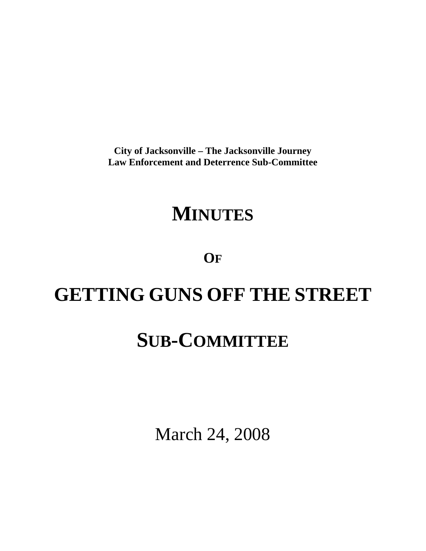**City of Jacksonville – The Jacksonville Journey Law Enforcement and Deterrence Sub-Committee** 

# **MINUTES**

**OF**

# **GETTING GUNS OFF THE STREET**

# **SUB-COMMITTEE**

March 24, 2008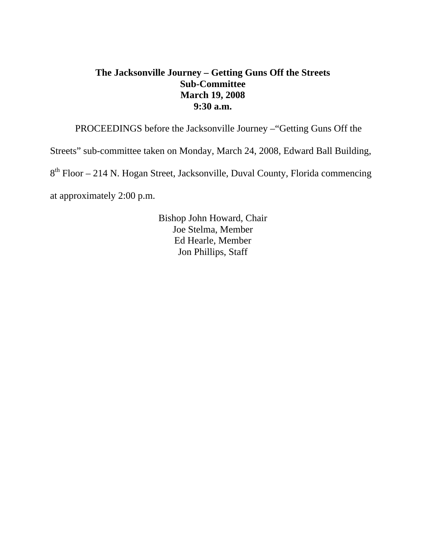## **The Jacksonville Journey – Getting Guns Off the Streets Sub-Committee March 19, 2008 9:30 a.m.**

PROCEEDINGS before the Jacksonville Journey –"Getting Guns Off the

Streets" sub-committee taken on Monday, March 24, 2008, Edward Ball Building,

8th Floor – 214 N. Hogan Street, Jacksonville, Duval County, Florida commencing

at approximately 2:00 p.m.

 Bishop John Howard, Chair Joe Stelma, Member Ed Hearle, Member Jon Phillips, Staff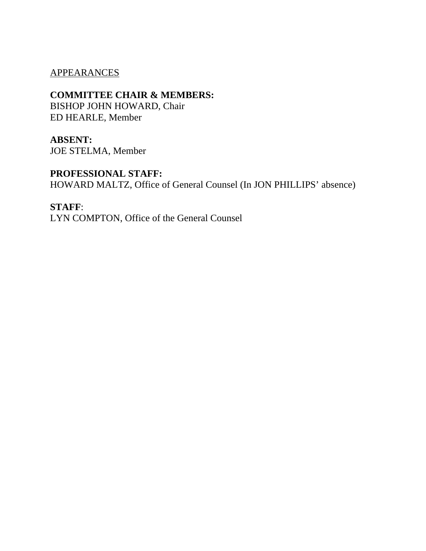#### APPEARANCES

### **COMMITTEE CHAIR & MEMBERS:**

BISHOP JOHN HOWARD, Chair ED HEARLE, Member

### **ABSENT:**

JOE STELMA, Member

## **PROFESSIONAL STAFF:**

HOWARD MALTZ, Office of General Counsel (In JON PHILLIPS' absence)

#### **STAFF**:

LYN COMPTON, Office of the General Counsel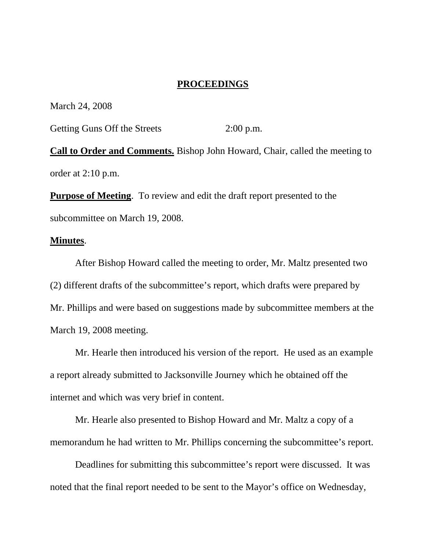#### **PROCEEDINGS**

March 24, 2008

Getting Guns Off the Streets 2:00 p.m.

**Call to Order and Comments.** Bishop John Howard, Chair, called the meeting to order at 2:10 p.m.

**Purpose of Meeting**. To review and edit the draft report presented to the subcommittee on March 19, 2008.

#### **Minutes**.

 After Bishop Howard called the meeting to order, Mr. Maltz presented two (2) different drafts of the subcommittee's report, which drafts were prepared by Mr. Phillips and were based on suggestions made by subcommittee members at the March 19, 2008 meeting.

 Mr. Hearle then introduced his version of the report. He used as an example a report already submitted to Jacksonville Journey which he obtained off the internet and which was very brief in content.

 Mr. Hearle also presented to Bishop Howard and Mr. Maltz a copy of a memorandum he had written to Mr. Phillips concerning the subcommittee's report.

 Deadlines for submitting this subcommittee's report were discussed. It was noted that the final report needed to be sent to the Mayor's office on Wednesday,